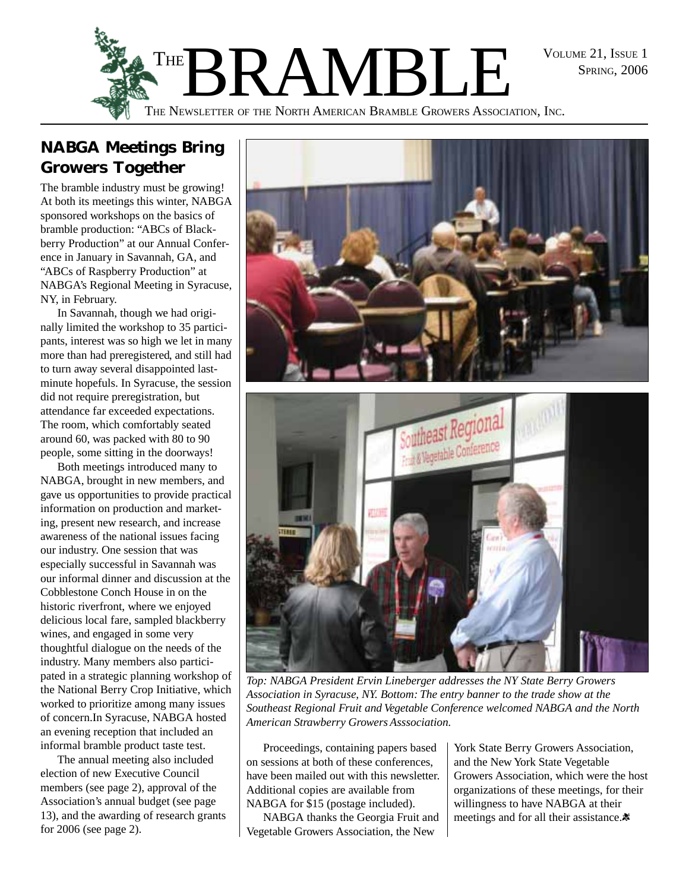SPRING, 2006



# **NABGA Meetings Bring Growers Together**

The bramble industry must be growing! At both its meetings this winter, NABGA sponsored workshops on the basics of bramble production: "ABCs of Blackberry Production" at our Annual Conference in January in Savannah, GA, and "ABCs of Raspberry Production" at NABGA's Regional Meeting in Syracuse, NY, in February.

In Savannah, though we had originally limited the workshop to 35 participants, interest was so high we let in many more than had preregistered, and still had to turn away several disappointed lastminute hopefuls. In Syracuse, the session did not require preregistration, but attendance far exceeded expectations. The room, which comfortably seated around 60, was packed with 80 to 90 people, some sitting in the doorways!

Both meetings introduced many to NABGA, brought in new members, and gave us opportunities to provide practical information on production and marketing, present new research, and increase awareness of the national issues facing our industry. One session that was especially successful in Savannah was our informal dinner and discussion at the Cobblestone Conch House in on the historic riverfront, where we enjoyed delicious local fare, sampled blackberry wines, and engaged in some very thoughtful dialogue on the needs of the industry. Many members also participated in a strategic planning workshop of the National Berry Crop Initiative, which worked to prioritize among many issues of concern.In Syracuse, NABGA hosted an evening reception that included an informal bramble product taste test.

The annual meeting also included election of new Executive Council members (see page 2), approval of the Association's annual budget (see page 13), and the awarding of research grants for 2006 (see page 2).



*Top: NABGA President Ervin Lineberger addresses the NY State Berry Growers Association in Syracuse, NY. Bottom: The entry banner to the trade show at the Southeast Regional Fruit and Vegetable Conference welcomed NABGA and the North American Strawberry Growers Asssociation.*

Proceedings, containing papers based on sessions at both of these conferences, have been mailed out with this newsletter. Additional copies are available from NABGA for \$15 (postage included).

NABGA thanks the Georgia Fruit and Vegetable Growers Association, the New

York State Berry Growers Association, and the New York State Vegetable Growers Association, which were the host organizations of these meetings, for their willingness to have NABGA at their meetings and for all their assistance. $\ast$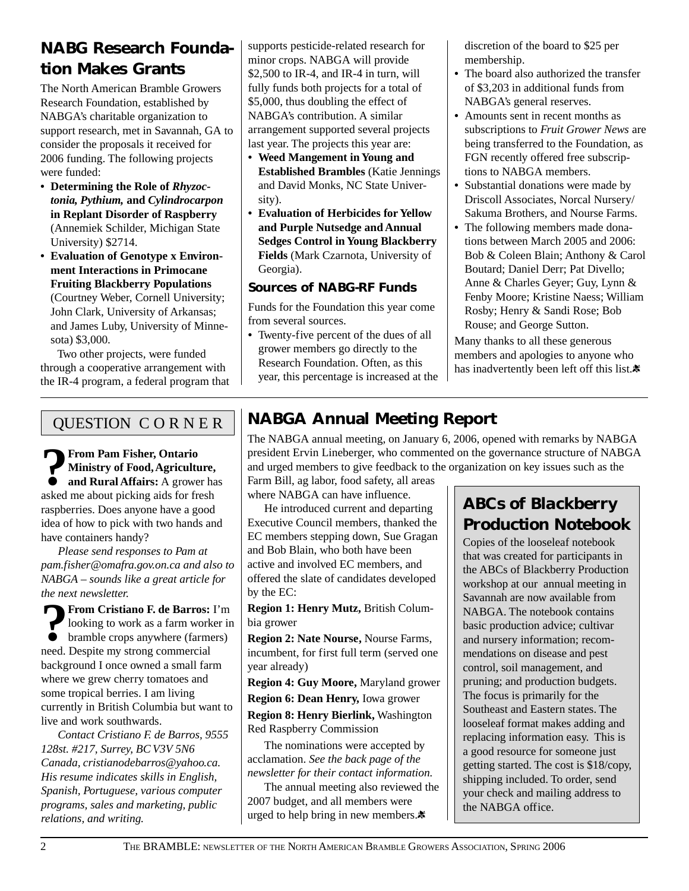# **NABG Research Foundation Makes Grants**

The North American Bramble Growers Research Foundation, established by NABGA's charitable organization to support research, met in Savannah, GA to consider the proposals it received for 2006 funding. The following projects were funded:

- **Determining the Role of** *Rhyzoctonia, Pythium,* **and** *Cylindrocarpon* **in Replant Disorder of Raspberry** (Annemiek Schilder, Michigan State University) \$2714.
- **Evaluation of Genotype x Environment Interactions in Primocane Fruiting Blackberry Populations** (Courtney Weber, Cornell University; John Clark, University of Arkansas; and James Luby, University of Minnesota) \$3,000.

Two other projects, were funded through a cooperative arrangement with the IR-4 program, a federal program that supports pesticide-related research for minor crops. NABGA will provide \$2,500 to IR-4, and IR-4 in turn, will fully funds both projects for a total of \$5,000, thus doubling the effect of NABGA's contribution. A similar arrangement supported several projects last year. The projects this year are:

- **Weed Mangement in Young and Established Brambles** (Katie Jennings and David Monks, NC State University).
- **Evaluation of Herbicides for Yellow and Purple Nutsedge and Annual Sedges Control in Young Blackberry Fields** (Mark Czarnota, University of Georgia).

### **Sources of NABG-RF Funds**

Funds for the Foundation this year come from several sources.

**•** Twenty-five percent of the dues of all grower members go directly to the Research Foundation. Often, as this year, this percentage is increased at the discretion of the board to \$25 per membership.

- **•** The board also authorized the transfer of \$3,203 in additional funds from NABGA's general reserves.
- **•** Amounts sent in recent months as subscriptions to *Fruit Grower News* are being transferred to the Foundation, as FGN recently offered free subscriptions to NABGA members.
- **•** Substantial donations were made by Driscoll Associates, Norcal Nursery/ Sakuma Brothers, and Nourse Farms.
- **•** The following members made donations between March 2005 and 2006: Bob & Coleen Blain; Anthony & Carol Boutard; Daniel Derr; Pat Divello; Anne & Charles Geyer; Guy, Lynn & Fenby Moore; Kristine Naess; William Rosby; Henry & Sandi Rose; Bob Rouse; and George Sutton.

Many thanks to all these generous members and apologies to anyone who has inadvertently been left off this list. $\ast$ 

### QUESTION C O R N E R

**?** From Pam Fisher, Ontario<br> **Alternative Start Action**<br> **Alternative Start Action**<br> **Alternative Start Action**<br> **Alternative Start Action**<br> **Alternative Start Action**<br> **Alternative Start Action**<br> **Alternative Start Actio Ministry of Food, Agriculture, and Rural Affairs:** A grower has asked me about picking aids for fresh raspberries. Does anyone have a good idea of how to pick with two hands and have containers handy?

*Please send responses to Pam at pam.fisher@omafra.gov.on.ca and also to NABGA – sounds like a great article for the next newsletter.*

**?** From Cristiano F. de Barros: I'm looking to work as a farm worker in bramble crops anywhere (farmers) need Despite my strong commercial looking to work as a farm worker in bramble crops anywhere (farmers) need. Despite my strong commercial background I once owned a small farm where we grew cherry tomatoes and some tropical berries. I am living currently in British Columbia but want to live and work southwards.

*Contact Cristiano F. de Barros, 9555 128st. #217, Surrey, BC V3V 5N6 Canada, cristianodebarros@yahoo.ca. His resume indicates skills in English, Spanish, Portuguese, various computer programs, sales and marketing, public relations, and writing.*

# **NABGA Annual Meeting Report**

The NABGA annual meeting, on January 6, 2006, opened with remarks by NABGA president Ervin Lineberger, who commented on the governance structure of NABGA and urged members to give feedback to the organization on key issues such as the Farm Bill, ag labor, food safety, all areas

where NABGA can have influence.

He introduced current and departing Executive Council members, thanked the EC members stepping down, Sue Gragan and Bob Blain, who both have been active and involved EC members, and offered the slate of candidates developed by the EC:

**Region 1: Henry Mutz,** British Columbia grower

**Region 2: Nate Nourse,** Nourse Farms, incumbent, for first full term (served one year already)

**Region 4: Guy Moore,** Maryland grower **Region 6: Dean Henry,** Iowa grower **Region 8: Henry Bierlink,** Washington

Red Raspberry Commission

The nominations were accepted by acclamation. *See the back page of the newsletter for their contact information.*

The annual meeting also reviewed the 2007 budget, and all members were urged to help bring in new members. $\ast$ 

# *ABCs of Blackberry Production* **Notebook**

Copies of the looseleaf notebook that was created for participants in the ABCs of Blackberry Production workshop at our annual meeting in Savannah are now available from NABGA. The notebook contains basic production advice; cultivar and nursery information; recommendations on disease and pest control, soil management, and pruning; and production budgets. The focus is primarily for the Southeast and Eastern states. The looseleaf format makes adding and replacing information easy. This is a good resource for someone just getting started. The cost is \$18/copy, shipping included. To order, send your check and mailing address to the NABGA office.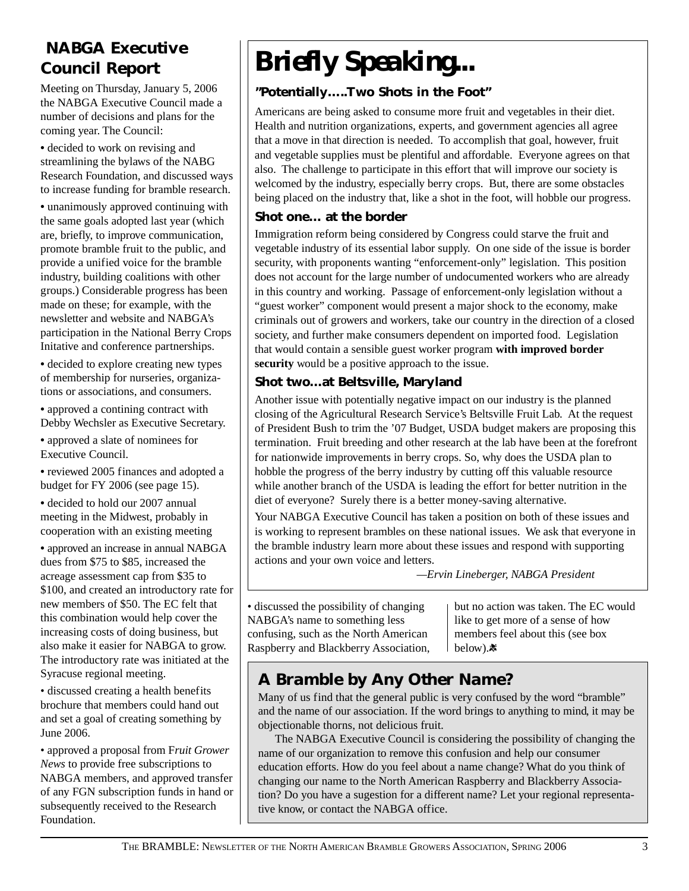# **NABGA Executive Council Report**

Meeting on Thursday, January 5, 2006 the NABGA Executive Council made a number of decisions and plans for the coming year. The Council:

**•** decided to work on revising and streamlining the bylaws of the NABG Research Foundation, and discussed ways to increase funding for bramble research.

**•** unanimously approved continuing with the same goals adopted last year (which are, briefly, to improve communication, promote bramble fruit to the public, and provide a unified voice for the bramble industry, building coalitions with other groups.) Considerable progress has been made on these; for example, with the newsletter and website and NABGA's participation in the National Berry Crops Initative and conference partnerships.

**•** decided to explore creating new types of membership for nurseries, organizations or associations, and consumers.

**•** approved a contining contract with Debby Wechsler as Executive Secretary.

**•** approved a slate of nominees for Executive Council.

**•** reviewed 2005 finances and adopted a budget for FY 2006 (see page 15).

**•** decided to hold our 2007 annual meeting in the Midwest, probably in cooperation with an existing meeting

**•** approved an increase in annual NABGA dues from \$75 to \$85, increased the acreage assessment cap from \$35 to \$100, and created an introductory rate for new members of \$50. The EC felt that this combination would help cover the increasing costs of doing business, but also make it easier for NABGA to grow. The introductory rate was initiated at the Syracuse regional meeting.

• discussed creating a health benefits brochure that members could hand out and set a goal of creating something by June 2006.

• approved a proposal from F*ruit Grower News* to provide free subscriptions to NABGA members, and approved transfer of any FGN subscription funds in hand or subsequently received to the Research Foundation.

# *Briefly Speaking...*

### **"Potentially…..Two Shots in the Foot"**

Americans are being asked to consume more fruit and vegetables in their diet. Health and nutrition organizations, experts, and government agencies all agree that a move in that direction is needed. To accomplish that goal, however, fruit and vegetable supplies must be plentiful and affordable. Everyone agrees on that also. The challenge to participate in this effort that will improve our society is welcomed by the industry, especially berry crops. But, there are some obstacles being placed on the industry that, like a shot in the foot, will hobble our progress.

### **Shot one… at the border**

Immigration reform being considered by Congress could starve the fruit and vegetable industry of its essential labor supply. On one side of the issue is border security, with proponents wanting "enforcement-only" legislation. This position does not account for the large number of undocumented workers who are already in this country and working. Passage of enforcement-only legislation without a "guest worker" component would present a major shock to the economy, make criminals out of growers and workers, take our country in the direction of a closed society, and further make consumers dependent on imported food. Legislation that would contain a sensible guest worker program **with improved border security** would be a positive approach to the issue.

### **Shot two…at Beltsville, Maryland**

Another issue with potentially negative impact on our industry is the planned closing of the Agricultural Research Service's Beltsville Fruit Lab. At the request of President Bush to trim the '07 Budget, USDA budget makers are proposing this termination. Fruit breeding and other research at the lab have been at the forefront for nationwide improvements in berry crops. So, why does the USDA plan to hobble the progress of the berry industry by cutting off this valuable resource while another branch of the USDA is leading the effort for better nutrition in the diet of everyone? Surely there is a better money-saving alternative.

Your NABGA Executive Council has taken a position on both of these issues and is working to represent brambles on these national issues. We ask that everyone in the bramble industry learn more about these issues and respond with supporting actions and your own voice and letters.

*—Ervin Lineberger, NABGA President*

• discussed the possibility of changing NABGA's name to something less confusing, such as the North American Raspberry and Blackberry Association,

but no action was taken. The EC would like to get more of a sense of how members feel about this (see box below).素

# **A** *Bramble by Any Other Name***?**

Many of us find that the general public is very confused by the word "bramble" and the name of our association. If the word brings to anything to mind, it may be objectionable thorns, not delicious fruit.

The NABGA Executive Council is considering the possibility of changing the name of our organization to remove this confusion and help our consumer education efforts. How do you feel about a name change? What do you think of changing our name to the North American Raspberry and Blackberry Association? Do you have a sugestion for a different name? Let your regional representative know, or contact the NABGA office.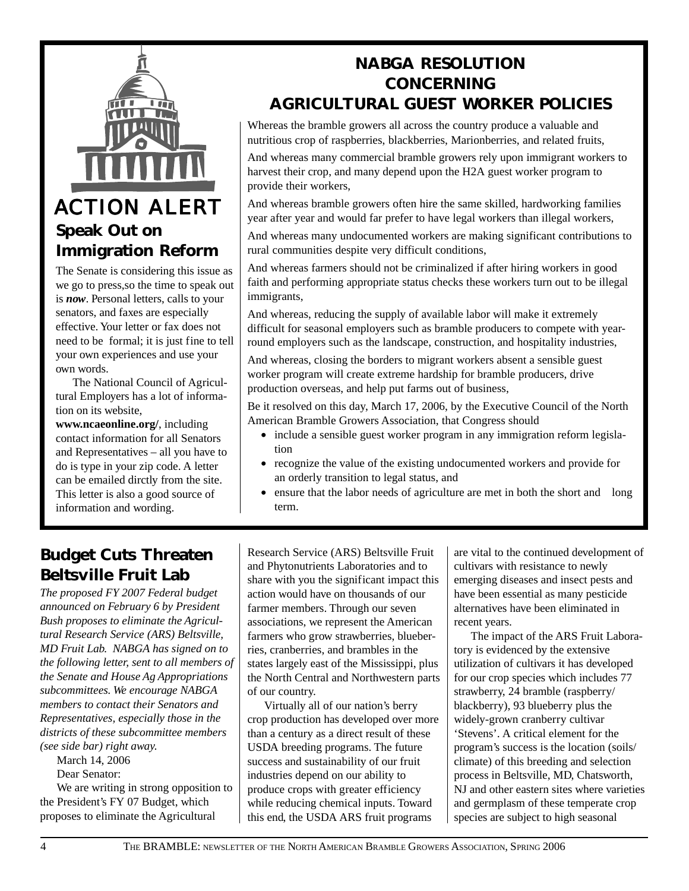

# **Speak Out on Immigration Reform**

The Senate is considering this issue as we go to press,so the time to speak out is *now*. Personal letters, calls to your senators, and faxes are especially effective. Your letter or fax does not need to be formal; it is just fine to tell your own experiences and use your own words.

The National Council of Agricultural Employers has a lot of information on its website,

**www.ncaeonline.org/**, including contact information for all Senators and Representatives – all you have to do is type in your zip code. A letter can be emailed dirctly from the site. This letter is also a good source of information and wording.

## **NABGA RESOLUTION CONCERNING AGRICULTURAL GUEST WORKER POLICIES**

Whereas the bramble growers all across the country produce a valuable and nutritious crop of raspberries, blackberries, Marionberries, and related fruits,

And whereas many commercial bramble growers rely upon immigrant workers to harvest their crop, and many depend upon the H2A guest worker program to provide their workers,

And whereas bramble growers often hire the same skilled, hardworking families year after year and would far prefer to have legal workers than illegal workers,

And whereas many undocumented workers are making significant contributions to rural communities despite very difficult conditions,

And whereas farmers should not be criminalized if after hiring workers in good faith and performing appropriate status checks these workers turn out to be illegal immigrants,

And whereas, reducing the supply of available labor will make it extremely difficult for seasonal employers such as bramble producers to compete with yearround employers such as the landscape, construction, and hospitality industries,

And whereas, closing the borders to migrant workers absent a sensible guest worker program will create extreme hardship for bramble producers, drive production overseas, and help put farms out of business,

Be it resolved on this day, March 17, 2006, by the Executive Council of the North American Bramble Growers Association, that Congress should

- include a sensible guest worker program in any immigration reform legislation
- recognize the value of the existing undocumented workers and provide for an orderly transition to legal status, and
- ensure that the labor needs of agriculture are met in both the short and long term.

# **Budget Cuts Threaten Beltsville Fruit Lab**

*The proposed FY 2007 Federal budget announced on February 6 by President Bush proposes to eliminate the Agricultural Research Service (ARS) Beltsville, MD Fruit Lab. NABGA has signed on to the following letter, sent to all members of the Senate and House Ag Appropriations subcommittees. We encourage NABGA members to contact their Senators and Representatives, especially those in the districts of these subcommittee members (see side bar) right away.*

March 14, 2006

Dear Senator:

We are writing in strong opposition to the President's FY 07 Budget, which proposes to eliminate the Agricultural

Research Service (ARS) Beltsville Fruit and Phytonutrients Laboratories and to share with you the significant impact this action would have on thousands of our farmer members. Through our seven associations, we represent the American farmers who grow strawberries, blueberries, cranberries, and brambles in the states largely east of the Mississippi, plus the North Central and Northwestern parts of our country.

Virtually all of our nation's berry crop production has developed over more than a century as a direct result of these USDA breeding programs. The future success and sustainability of our fruit industries depend on our ability to produce crops with greater efficiency while reducing chemical inputs. Toward this end, the USDA ARS fruit programs

are vital to the continued development of cultivars with resistance to newly emerging diseases and insect pests and have been essential as many pesticide alternatives have been eliminated in recent years.

The impact of the ARS Fruit Laboratory is evidenced by the extensive utilization of cultivars it has developed for our crop species which includes 77 strawberry, 24 bramble (raspberry/ blackberry), 93 blueberry plus the widely-grown cranberry cultivar 'Stevens'. A critical element for the program's success is the location (soils/ climate) of this breeding and selection process in Beltsville, MD, Chatsworth, NJ and other eastern sites where varieties and germplasm of these temperate crop species are subject to high seasonal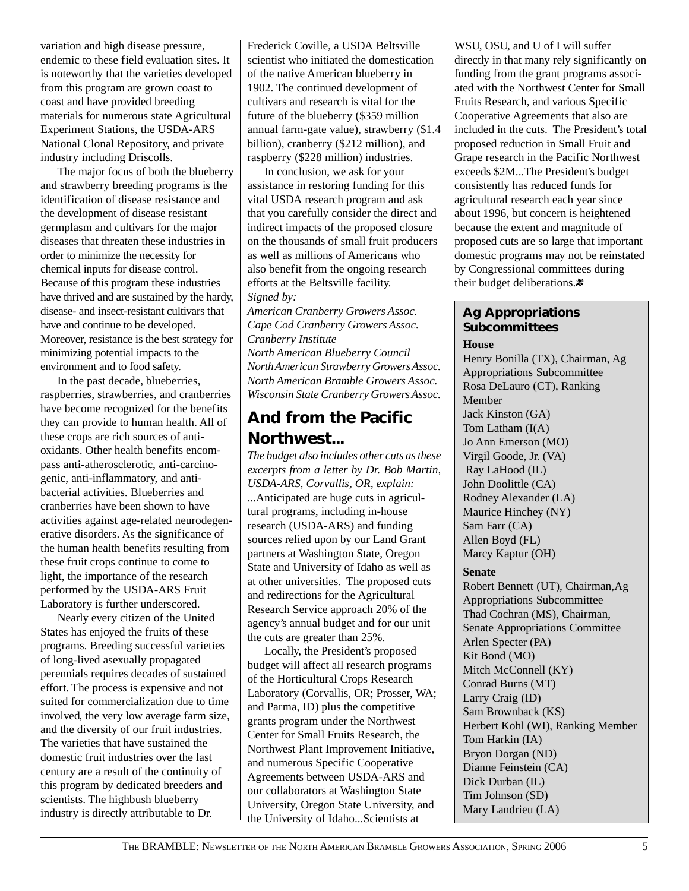variation and high disease pressure, endemic to these field evaluation sites. It is noteworthy that the varieties developed from this program are grown coast to coast and have provided breeding materials for numerous state Agricultural Experiment Stations, the USDA-ARS National Clonal Repository, and private industry including Driscolls.

The major focus of both the blueberry and strawberry breeding programs is the identification of disease resistance and the development of disease resistant germplasm and cultivars for the major diseases that threaten these industries in order to minimize the necessity for chemical inputs for disease control. Because of this program these industries have thrived and are sustained by the hardy, disease- and insect-resistant cultivars that have and continue to be developed. Moreover, resistance is the best strategy for minimizing potential impacts to the environment and to food safety.

In the past decade, blueberries, raspberries, strawberries, and cranberries have become recognized for the benefits they can provide to human health. All of these crops are rich sources of antioxidants. Other health benefits encompass anti-atherosclerotic, anti-carcinogenic, anti-inflammatory, and antibacterial activities. Blueberries and cranberries have been shown to have activities against age-related neurodegenerative disorders. As the significance of the human health benefits resulting from these fruit crops continue to come to light, the importance of the research performed by the USDA-ARS Fruit Laboratory is further underscored.

Nearly every citizen of the United States has enjoyed the fruits of these programs. Breeding successful varieties of long-lived asexually propagated perennials requires decades of sustained effort. The process is expensive and not suited for commercialization due to time involved, the very low average farm size, and the diversity of our fruit industries. The varieties that have sustained the domestic fruit industries over the last century are a result of the continuity of this program by dedicated breeders and scientists. The highbush blueberry industry is directly attributable to Dr.

Frederick Coville, a USDA Beltsville scientist who initiated the domestication of the native American blueberry in 1902. The continued development of cultivars and research is vital for the future of the blueberry (\$359 million annual farm-gate value), strawberry (\$1.4 billion), cranberry (\$212 million), and raspberry (\$228 million) industries.

In conclusion, we ask for your assistance in restoring funding for this vital USDA research program and ask that you carefully consider the direct and indirect impacts of the proposed closure on the thousands of small fruit producers as well as millions of Americans who also benefit from the ongoing research efforts at the Beltsville facility. *Signed by:*

*American Cranberry Growers Assoc. Cape Cod Cranberry Growers Assoc. Cranberry Institute North American Blueberry Council North American Strawberry Growers Assoc. North American Bramble Growers Assoc. Wisconsin State Cranberry Growers Assoc.*

# **And from the Pacific Northwest...**

*The budget also includes other cuts as these excerpts from a letter by Dr. Bob Martin, USDA-ARS, Corvallis, OR, explain:* ...Anticipated are huge cuts in agricultural programs, including in-house research (USDA-ARS) and funding sources relied upon by our Land Grant partners at Washington State, Oregon State and University of Idaho as well as at other universities. The proposed cuts and redirections for the Agricultural Research Service approach 20% of the agency's annual budget and for our unit the cuts are greater than 25%.

Locally, the President's proposed budget will affect all research programs of the Horticultural Crops Research Laboratory (Corvallis, OR; Prosser, WA; and Parma, ID) plus the competitive grants program under the Northwest Center for Small Fruits Research, the Northwest Plant Improvement Initiative, and numerous Specific Cooperative Agreements between USDA-ARS and our collaborators at Washington State University, Oregon State University, and the University of Idaho...Scientists at

WSU, OSU, and U of I will suffer directly in that many rely significantly on funding from the grant programs associated with the Northwest Center for Small Fruits Research, and various Specific Cooperative Agreements that also are included in the cuts. The President's total proposed reduction in Small Fruit and Grape research in the Pacific Northwest exceeds \$2M...The President's budget consistently has reduced funds for agricultural research each year since about 1996, but concern is heightened because the extent and magnitude of proposed cuts are so large that important domestic programs may not be reinstated by Congressional committees during their budget deliberations. $*$ 

### **Ag Appropriations Subcommittees**

**House**

Henry Bonilla (TX), Chairman, Ag Appropriations Subcommittee Rosa DeLauro (CT), Ranking Member Jack Kinston (GA) Tom Latham (I(A) Jo Ann Emerson (MO) Virgil Goode, Jr. (VA) Ray LaHood (IL) John Doolittle (CA) Rodney Alexander (LA) Maurice Hinchey (NY) Sam Farr (CA) Allen Boyd (FL) Marcy Kaptur (OH)

#### **Senate**

Robert Bennett (UT), Chairman,Ag Appropriations Subcommittee Thad Cochran (MS), Chairman, Senate Appropriations Committee Arlen Specter (PA) Kit Bond (MO) Mitch McConnell (KY) Conrad Burns (MT) Larry Craig (ID) Sam Brownback (KS) Herbert Kohl (WI), Ranking Member Tom Harkin (IA) Bryon Dorgan (ND) Dianne Feinstein (CA) Dick Durban (IL) Tim Johnson (SD) Mary Landrieu (LA)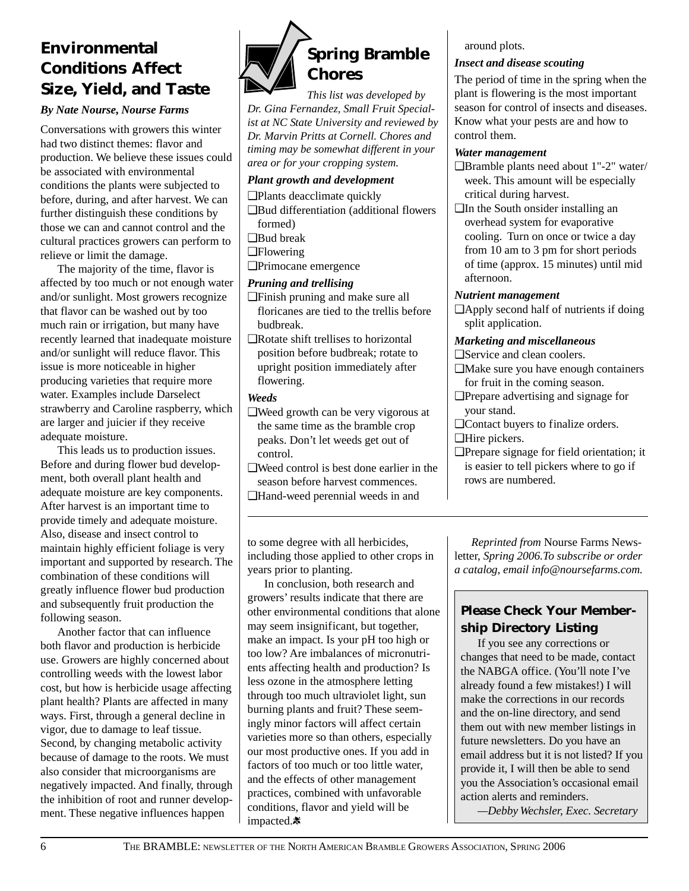# **Environmental Conditions Affect Size, Yield, and Taste**

#### *By Nate Nourse, Nourse Farms*

Conversations with growers this winter had two distinct themes: flavor and production. We believe these issues could be associated with environmental conditions the plants were subjected to before, during, and after harvest. We can further distinguish these conditions by those we can and cannot control and the cultural practices growers can perform to relieve or limit the damage.

The majority of the time, flavor is affected by too much or not enough water and/or sunlight. Most growers recognize that flavor can be washed out by too much rain or irrigation, but many have recently learned that inadequate moisture and/or sunlight will reduce flavor. This issue is more noticeable in higher producing varieties that require more water. Examples include Darselect strawberry and Caroline raspberry, which are larger and juicier if they receive adequate moisture.

This leads us to production issues. Before and during flower bud development, both overall plant health and adequate moisture are key components. After harvest is an important time to provide timely and adequate moisture. Also, disease and insect control to maintain highly efficient foliage is very important and supported by research. The combination of these conditions will greatly influence flower bud production and subsequently fruit production the following season.

Another factor that can influence both flavor and production is herbicide use. Growers are highly concerned about controlling weeds with the lowest labor cost, but how is herbicide usage affecting plant health? Plants are affected in many ways. First, through a general decline in vigor, due to damage to leaf tissue. Second, by changing metabolic activity because of damage to the roots. We must also consider that microorganisms are negatively impacted. And finally, through the inhibition of root and runner development. These negative influences happen



*This list was developed by Dr. Gina Fernandez, Small Fruit Specialist at NC State University and reviewed by Dr. Marvin Pritts at Cornell. Chores and timing may be somewhat different in your area or for your cropping system.*

### *Plant growth and development*

❑Plants deacclimate quickly

- ❑Bud differentiation (additional flowers formed)
- ❑Bud break
- ❑Flowering
- ❑Primocane emergence

#### *Pruning and trellising*

- ❑Finish pruning and make sure all floricanes are tied to the trellis before budbreak.
- ❑Rotate shift trellises to horizontal position before budbreak; rotate to upright position immediately after flowering.

#### *Weeds*

- ❑Weed growth can be very vigorous at the same time as the bramble crop peaks. Don't let weeds get out of control.
- ❑Weed control is best done earlier in the season before harvest commences.
- ❑Hand-weed perennial weeds in and

to some degree with all herbicides, including those applied to other crops in years prior to planting.

In conclusion, both research and growers' results indicate that there are other environmental conditions that alone may seem insignificant, but together, make an impact. Is your pH too high or too low? Are imbalances of micronutrients affecting health and production? Is less ozone in the atmosphere letting through too much ultraviolet light, sun burning plants and fruit? These seemingly minor factors will affect certain varieties more so than others, especially our most productive ones. If you add in factors of too much or too little water, and the effects of other management practices, combined with unfavorable conditions, flavor and yield will be impacted.素

around plots.

### *Insect and disease scouting*

The period of time in the spring when the plant is flowering is the most important season for control of insects and diseases. Know what your pests are and how to control them.

### *Water management*

- ❑Bramble plants need about 1"-2" water/ week. This amount will be especially critical during harvest.
- ❑In the South onsider installing an overhead system for evaporative cooling. Turn on once or twice a day from 10 am to 3 pm for short periods of time (approx. 15 minutes) until mid afternoon.

#### *Nutrient management*

❑Apply second half of nutrients if doing split application.

### *Marketing and miscellaneous*

- ❑Service and clean coolers.
- ❑Make sure you have enough containers for fruit in the coming season.
- ❑Prepare advertising and signage for your stand.
- ❑Contact buyers to finalize orders.
- ❑Hire pickers.
- ❑Prepare signage for field orientation; it is easier to tell pickers where to go if rows are numbered.

*Reprinted from* Nourse Farms Newsletter, *Spring 2006.To subscribe or order a catalog, email info@noursefarms.com.*

### **Please Check Your Membership Directory Listing**

If you see any corrections or changes that need to be made, contact the NABGA office. (You'll note I've already found a few mistakes!) I will make the corrections in our records and the on-line directory, and send them out with new member listings in future newsletters. Do you have an email address but it is not listed? If you provide it, I will then be able to send you the Association's occasional email action alerts and reminders.

*—Debby Wechsler, Exec. Secretary*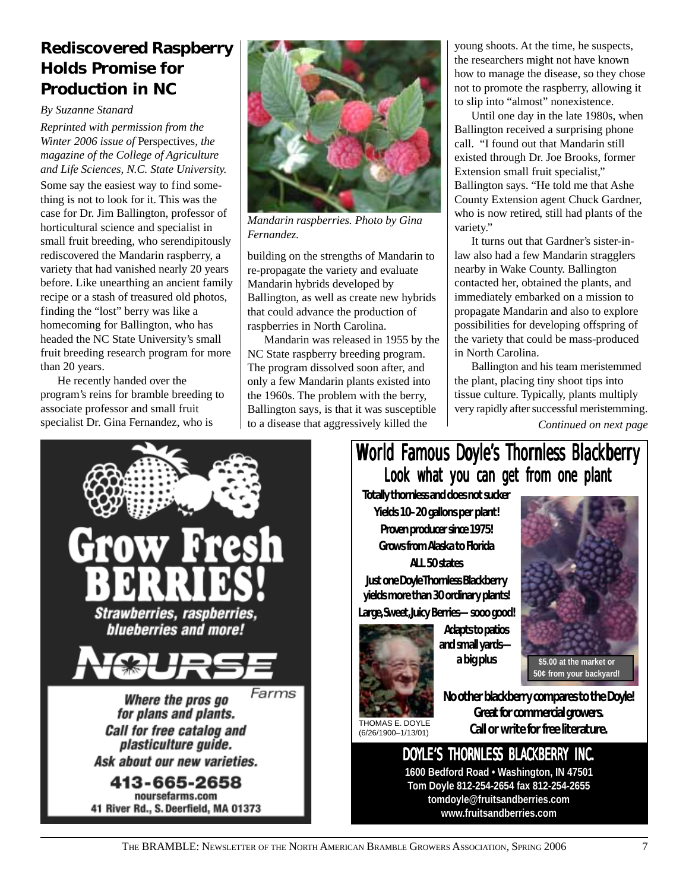# **Rediscovered Raspberry Holds Promise for Production in NC**

### *By Suzanne Stanard*

*Reprinted with permission from the Winter 2006 issue of* Perspectives*, the magazine of the College of Agriculture and Life Sciences, N.C. State University.* Some say the easiest way to find something is not to look for it. This was the case for Dr. Jim Ballington, professor of horticultural science and specialist in small fruit breeding, who serendipitously rediscovered the Mandarin raspberry, a variety that had vanished nearly 20 years before. Like unearthing an ancient family recipe or a stash of treasured old photos, finding the "lost" berry was like a homecoming for Ballington, who has headed the NC State University's small fruit breeding research program for more than 20 years.

He recently handed over the program's reins for bramble breeding to associate professor and small fruit specialist Dr. Gina Fernandez, who is



*Mandarin raspberries. Photo by Gina Fernandez.*

building on the strengths of Mandarin to re-propagate the variety and evaluate Mandarin hybrids developed by Ballington, as well as create new hybrids that could advance the production of raspberries in North Carolina.

Mandarin was released in 1955 by the NC State raspberry breeding program. The program dissolved soon after, and only a few Mandarin plants existed into the 1960s. The problem with the berry, Ballington says, is that it was susceptible to a disease that aggressively killed the

young shoots. At the time, he suspects, the researchers might not have known how to manage the disease, so they chose not to promote the raspberry, allowing it to slip into "almost" nonexistence.

Until one day in the late 1980s, when Ballington received a surprising phone call. "I found out that Mandarin still existed through Dr. Joe Brooks, former Extension small fruit specialist," Ballington says. "He told me that Ashe County Extension agent Chuck Gardner, who is now retired, still had plants of the variety."

It turns out that Gardner's sister-inlaw also had a few Mandarin stragglers nearby in Wake County. Ballington contacted her, obtained the plants, and immediately embarked on a mission to propagate Mandarin and also to explore possibilities for developing offspring of the variety that could be mass-produced in North Carolina.

Ballington and his team meristemmed the plant, placing tiny shoot tips into tissue culture. Typically, plants multiply very rapidly after successful meristemming.

*Continued on next page*



# World Famous Doyle's Thornless Blackberry Look what you can get from one plant

**Totally thornless and does not sucker Yields 10–20 gallons per plant! Proven producer since 1975! Grows from Alaska to Florida**

**ALL 50 states Just one Doyle Thornless Blackberry yields more than 30 ordinary plants! Large, Sweet, Juicy Berries—sooo good!**



**Adapts to patios and small yards a big plus**



**\$5.00 at the market or 50¢ from your backyard!**

THOMAS E. DOYLE (6/26/1900–1/13/01)

**No other blackberry compares to the Doyle! Great for commercial growers. Call or write for free literature.**

DOYLE'S THORNLESS BLACKBERRY INC. **1600 Bedford Road • Washington, IN 47501 Tom Doyle 812-254-2654 fax 812-254-2655**

**tomdoyle@fruitsandberries.com**

**www.fruitsandberries.com**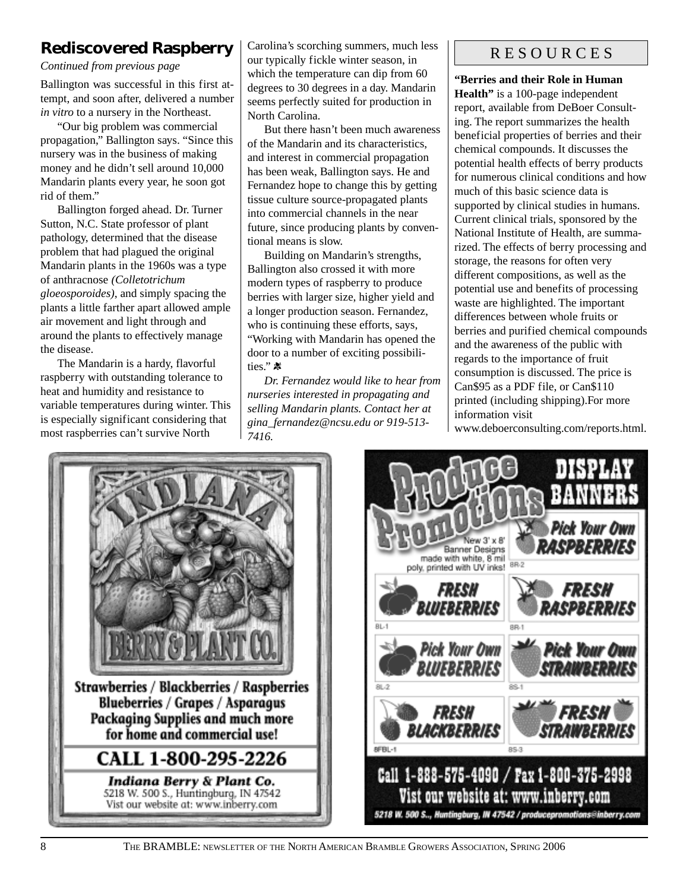# **Rediscovered Raspberry**

*Continued from previous page*

Ballington was successful in this first attempt, and soon after, delivered a number *in vitro* to a nursery in the Northeast.

"Our big problem was commercial propagation," Ballington says. "Since this nursery was in the business of making money and he didn't sell around 10,000 Mandarin plants every year, he soon got rid of them."

Ballington forged ahead. Dr. Turner Sutton, N.C. State professor of plant pathology, determined that the disease problem that had plagued the original Mandarin plants in the 1960s was a type of anthracnose *(Colletotrichum gloeosporoides)*, and simply spacing the plants a little farther apart allowed ample air movement and light through and around the plants to effectively manage the disease.

The Mandarin is a hardy, flavorful raspberry with outstanding tolerance to heat and humidity and resistance to variable temperatures during winter. This is especially significant considering that most raspberries can't survive North

Carolina's scorching summers, much less our typically fickle winter season, in which the temperature can dip from 60 degrees to 30 degrees in a day. Mandarin seems perfectly suited for production in North Carolina.

But there hasn't been much awareness of the Mandarin and its characteristics, and interest in commercial propagation has been weak, Ballington says. He and Fernandez hope to change this by getting tissue culture source-propagated plants into commercial channels in the near future, since producing plants by conventional means is slow.

Building on Mandarin's strengths, Ballington also crossed it with more modern types of raspberry to produce berries with larger size, higher yield and a longer production season. Fernandez, who is continuing these efforts, says, "Working with Mandarin has opened the door to a number of exciting possibilities."

*Dr. Fernandez would like to hear from nurseries interested in propagating and selling Mandarin plants. Contact her at gina\_fernandez@ncsu.edu or 919-513- 7416.*

### R E S O U R C E S

**"Berries and their Role in Human Health"** is a 100-page independent report, available from DeBoer Consulting. The report summarizes the health beneficial properties of berries and their chemical compounds. It discusses the potential health effects of berry products for numerous clinical conditions and how much of this basic science data is supported by clinical studies in humans. Current clinical trials, sponsored by the National Institute of Health, are summarized. The effects of berry processing and storage, the reasons for often very different compositions, as well as the potential use and benefits of processing waste are highlighted. The important differences between whole fruits or berries and purified chemical compounds and the awareness of the public with regards to the importance of fruit consumption is discussed. The price is Can\$95 as a PDF file, or Can\$110 printed (including shipping).For more information visit

www.deboerconsulting.com/reports.html.



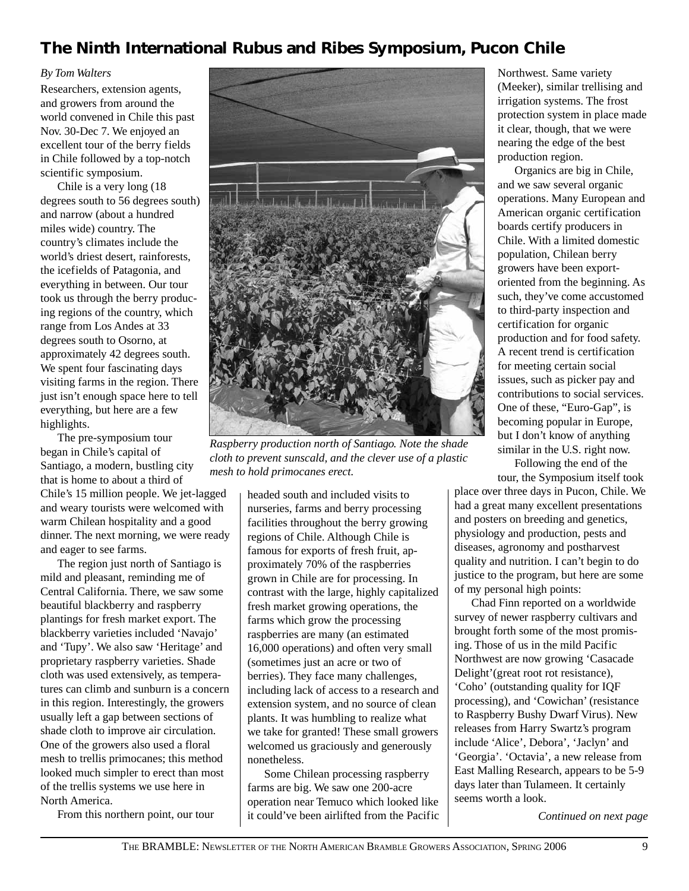# **The Ninth International** *Rubus* **and** *Ribes* **Symposium, Pucon Chile**

### *By Tom Walters*

Researchers, extension agents, and growers from around the world convened in Chile this past Nov. 30-Dec 7. We enjoyed an excellent tour of the berry fields in Chile followed by a top-notch scientific symposium.

Chile is a very long (18 degrees south to 56 degrees south) and narrow (about a hundred miles wide) country. The country's climates include the world's driest desert, rainforests, the icefields of Patagonia, and everything in between. Our tour took us through the berry producing regions of the country, which range from Los Andes at 33 degrees south to Osorno, at approximately 42 degrees south. We spent four fascinating days visiting farms in the region. There just isn't enough space here to tell everything, but here are a few highlights.

The pre-symposium tour began in Chile's capital of Santiago, a modern, bustling city that is home to about a third of Chile's 15 million people. We jet-lagged

and weary tourists were welcomed with warm Chilean hospitality and a good dinner. The next morning, we were ready and eager to see farms.

The region just north of Santiago is mild and pleasant, reminding me of Central California. There, we saw some beautiful blackberry and raspberry plantings for fresh market export. The blackberry varieties included 'Navajo' and 'Tupy'. We also saw 'Heritage' and proprietary raspberry varieties. Shade cloth was used extensively, as temperatures can climb and sunburn is a concern in this region. Interestingly, the growers usually left a gap between sections of shade cloth to improve air circulation. One of the growers also used a floral mesh to trellis primocanes; this method looked much simpler to erect than most of the trellis systems we use here in North America.

From this northern point, our tour



*Raspberry production north of Santiago. Note the shade cloth to prevent sunscald, and the clever use of a plastic mesh to hold primocanes erect.*

headed south and included visits to nurseries, farms and berry processing facilities throughout the berry growing regions of Chile. Although Chile is famous for exports of fresh fruit, approximately 70% of the raspberries grown in Chile are for processing. In contrast with the large, highly capitalized fresh market growing operations, the farms which grow the processing raspberries are many (an estimated 16,000 operations) and often very small (sometimes just an acre or two of berries). They face many challenges, including lack of access to a research and extension system, and no source of clean plants. It was humbling to realize what we take for granted! These small growers welcomed us graciously and generously nonetheless.

Some Chilean processing raspberry farms are big. We saw one 200-acre operation near Temuco which looked like it could've been airlifted from the Pacific Northwest. Same variety (Meeker), similar trellising and irrigation systems. The frost protection system in place made it clear, though, that we were nearing the edge of the best production region.

Organics are big in Chile, and we saw several organic operations. Many European and American organic certification boards certify producers in Chile. With a limited domestic population, Chilean berry growers have been exportoriented from the beginning. As such, they've come accustomed to third-party inspection and certification for organic production and for food safety. A recent trend is certification for meeting certain social issues, such as picker pay and contributions to social services. One of these, "Euro-Gap", is becoming popular in Europe, but I don't know of anything similar in the U.S. right now.

Following the end of the tour, the Symposium itself took

place over three days in Pucon, Chile. We had a great many excellent presentations and posters on breeding and genetics, physiology and production, pests and diseases, agronomy and postharvest quality and nutrition. I can't begin to do justice to the program, but here are some of my personal high points:

Chad Finn reported on a worldwide survey of newer raspberry cultivars and brought forth some of the most promising. Those of us in the mild Pacific Northwest are now growing 'Casacade Delight'(great root rot resistance), 'Coho' (outstanding quality for IQF processing), and 'Cowichan' (resistance to Raspberry Bushy Dwarf Virus). New releases from Harry Swartz's program include 'Alice', Debora', 'Jaclyn' and 'Georgia'. 'Octavia', a new release from East Malling Research, appears to be 5-9 days later than Tulameen. It certainly seems worth a look.

*Continued on next page*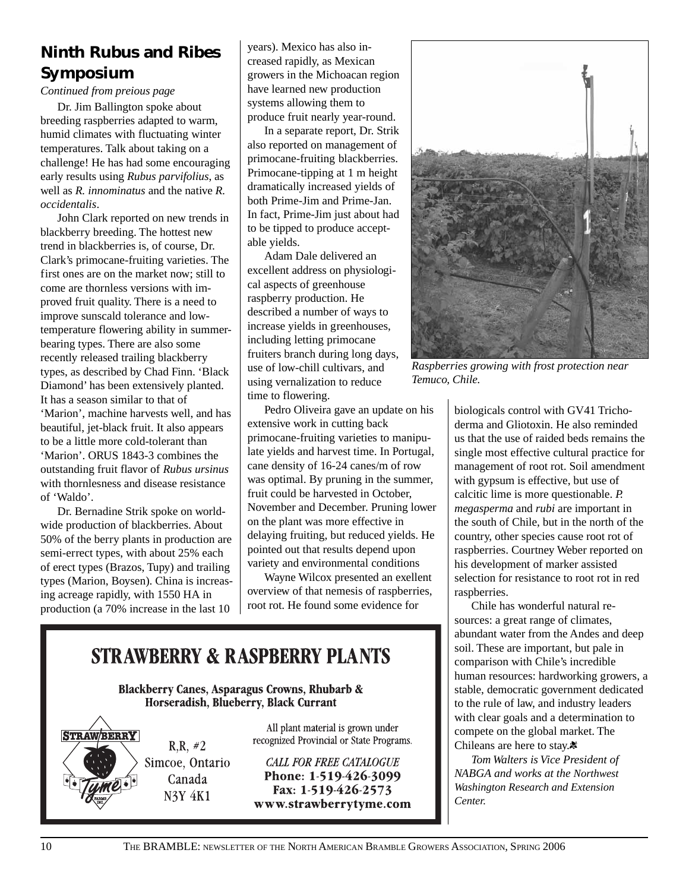# **Ninth** *Rubus* **and** *Ribes* **Symposium**

*Continued from preious page*

Dr. Jim Ballington spoke about breeding raspberries adapted to warm, humid climates with fluctuating winter temperatures. Talk about taking on a challenge! He has had some encouraging early results using *Rubus parvifolius*, as well as *R. innominatus* and the native *R. occidentalis*.

John Clark reported on new trends in blackberry breeding. The hottest new trend in blackberries is, of course, Dr. Clark's primocane-fruiting varieties. The first ones are on the market now; still to come are thornless versions with improved fruit quality. There is a need to improve sunscald tolerance and lowtemperature flowering ability in summerbearing types. There are also some recently released trailing blackberry types, as described by Chad Finn. 'Black Diamond' has been extensively planted. It has a season similar to that of 'Marion', machine harvests well, and has beautiful, jet-black fruit. It also appears to be a little more cold-tolerant than 'Marion'. ORUS 1843-3 combines the outstanding fruit flavor of *Rubus ursinus* with thornlesness and disease resistance of 'Waldo'.

Dr. Bernadine Strik spoke on worldwide production of blackberries. About 50% of the berry plants in production are semi-errect types, with about 25% each of erect types (Brazos, Tupy) and trailing types (Marion, Boysen). China is increasing acreage rapidly, with 1550 HA in production (a 70% increase in the last 10

years). Mexico has also increased rapidly, as Mexican growers in the Michoacan region have learned new production systems allowing them to produce fruit nearly year-round.

In a separate report, Dr. Strik also reported on management of primocane-fruiting blackberries. Primocane-tipping at 1 m height dramatically increased yields of both Prime-Jim and Prime-Jan. In fact, Prime-Jim just about had to be tipped to produce acceptable yields.

Adam Dale delivered an excellent address on physiological aspects of greenhouse raspberry production. He described a number of ways to increase yields in greenhouses, including letting primocane fruiters branch during long days, use of low-chill cultivars, and using vernalization to reduce time to flowering.

Pedro Oliveira gave an update on his extensive work in cutting back primocane-fruiting varieties to manipulate yields and harvest time. In Portugal, cane density of 16-24 canes/m of row was optimal. By pruning in the summer, fruit could be harvested in October, November and December. Pruning lower on the plant was more effective in delaying fruiting, but reduced yields. He pointed out that results depend upon variety and environmental conditions

Wayne Wilcox presented an exellent overview of that nemesis of raspberries, root rot. He found some evidence for

# **STRAWBERRY & RASPBERRY PLANTS**

**Blackberry Canes, Asparagus Crowns, Rhubarb &** Horseradish, Blueberry, Black Currant

**STRAWBERRY**  $R.R. #2$ Simcoe, Ontario Canada **N3Y 4K1** 

All plant material is grown under recognized Provincial or State Programs.

**CALL FOR FREE CATALOGUE** Phone: 1-519-426-3099 Fax: 1-519-426-2573 www.strawberrytyme.com



*Raspberries growing with frost protection near Temuco, Chile.*

biologicals control with GV41 Trichoderma and Gliotoxin. He also reminded us that the use of raided beds remains the single most effective cultural practice for management of root rot. Soil amendment with gypsum is effective, but use of calcitic lime is more questionable. *P. megasperma* and *rubi* are important in the south of Chile, but in the north of the country, other species cause root rot of raspberries. Courtney Weber reported on his development of marker assisted selection for resistance to root rot in red raspberries.

Chile has wonderful natural resources: a great range of climates, abundant water from the Andes and deep soil. These are important, but pale in comparison with Chile's incredible human resources: hardworking growers, a stable, democratic government dedicated to the rule of law, and industry leaders with clear goals and a determination to compete on the global market. The Chileans are here to stay.

*Tom Walters is Vice President of NABGA and works at the Northwest Washington Research and Extension Center.*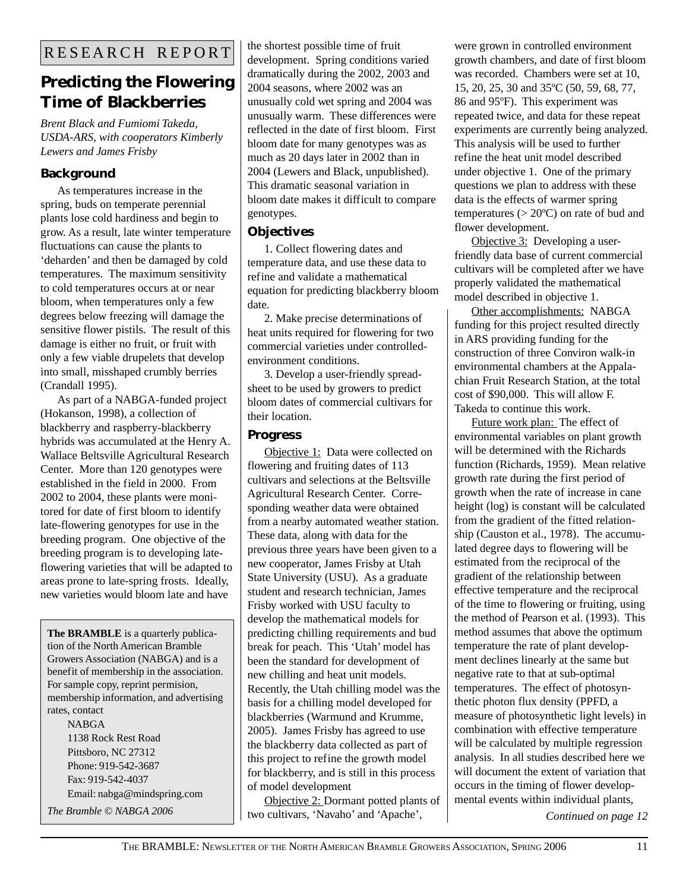# **Predicting the Flowering Time of Blackberries**

*Brent Black and Fumiomi Takeda, USDA-ARS, with cooperators Kimberly Lewers and James Frisby*

### **Background**

As temperatures increase in the spring, buds on temperate perennial plants lose cold hardiness and begin to grow. As a result, late winter temperature fluctuations can cause the plants to 'deharden' and then be damaged by cold temperatures. The maximum sensitivity to cold temperatures occurs at or near bloom, when temperatures only a few degrees below freezing will damage the sensitive flower pistils. The result of this damage is either no fruit, or fruit with only a few viable drupelets that develop into small, misshaped crumbly berries (Crandall 1995).

As part of a NABGA-funded project (Hokanson, 1998), a collection of blackberry and raspberry-blackberry hybrids was accumulated at the Henry A. Wallace Beltsville Agricultural Research Center. More than 120 genotypes were established in the field in 2000. From 2002 to 2004, these plants were monitored for date of first bloom to identify late-flowering genotypes for use in the breeding program. One objective of the breeding program is to developing lateflowering varieties that will be adapted to areas prone to late-spring frosts. Ideally, new varieties would bloom late and have

**The BRAMBLE** is a quarterly publication of the North American Bramble Growers Association (NABGA) and is a benefit of membership in the association. For sample copy, reprint permision, membership information, and advertising rates, contact NABGA

1138 Rock Rest Road Pittsboro, NC 27312 Phone: 919-542-3687 Fax: 919-542-4037 Email: nabga@mindspring.com the shortest possible time of fruit development. Spring conditions varied dramatically during the 2002, 2003 and 2004 seasons, where 2002 was an unusually cold wet spring and 2004 was unusually warm. These differences were reflected in the date of first bloom. First bloom date for many genotypes was as much as 20 days later in 2002 than in 2004 (Lewers and Black, unpublished). This dramatic seasonal variation in bloom date makes it difficult to compare genotypes.

### **Objectives**

1. Collect flowering dates and temperature data, and use these data to refine and validate a mathematical equation for predicting blackberry bloom date.

2. Make precise determinations of heat units required for flowering for two commercial varieties under controlledenvironment conditions.

3. Develop a user-friendly spreadsheet to be used by growers to predict bloom dates of commercial cultivars for their location.

### **Progress**

Objective 1: Data were collected on flowering and fruiting dates of 113 cultivars and selections at the Beltsville Agricultural Research Center. Corresponding weather data were obtained from a nearby automated weather station. These data, along with data for the previous three years have been given to a new cooperator, James Frisby at Utah State University (USU). As a graduate student and research technician, James Frisby worked with USU faculty to develop the mathematical models for predicting chilling requirements and bud break for peach. This 'Utah' model has been the standard for development of new chilling and heat unit models. Recently, the Utah chilling model was the basis for a chilling model developed for blackberries (Warmund and Krumme, 2005). James Frisby has agreed to use the blackberry data collected as part of this project to refine the growth model for blackberry, and is still in this process of model development

Objective 2: Dormant potted plants of The Bramble © NABGA 2006 **Continued on page 12 Continued on page 12 Continued on page 12** 

were grown in controlled environment growth chambers, and date of first bloom was recorded. Chambers were set at 10, 15, 20, 25, 30 and 35ºC (50, 59, 68, 77, 86 and 95ºF). This experiment was repeated twice, and data for these repeat experiments are currently being analyzed. This analysis will be used to further refine the heat unit model described under objective 1. One of the primary questions we plan to address with these data is the effects of warmer spring temperatures  $(>20^{\circ}C)$  on rate of bud and flower development.

Objective 3: Developing a userfriendly data base of current commercial cultivars will be completed after we have properly validated the mathematical model described in objective 1.

Other accomplishments: NABGA funding for this project resulted directly in ARS providing funding for the construction of three Conviron walk-in environmental chambers at the Appalachian Fruit Research Station, at the total cost of \$90,000. This will allow F. Takeda to continue this work.

Future work plan: The effect of environmental variables on plant growth will be determined with the Richards function (Richards, 1959). Mean relative growth rate during the first period of growth when the rate of increase in cane height (log) is constant will be calculated from the gradient of the fitted relationship (Causton et al., 1978). The accumulated degree days to flowering will be estimated from the reciprocal of the gradient of the relationship between effective temperature and the reciprocal of the time to flowering or fruiting, using the method of Pearson et al. (1993). This method assumes that above the optimum temperature the rate of plant development declines linearly at the same but negative rate to that at sub-optimal temperatures. The effect of photosynthetic photon flux density (PPFD, a measure of photosynthetic light levels) in combination with effective temperature will be calculated by multiple regression analysis. In all studies described here we will document the extent of variation that occurs in the timing of flower developmental events within individual plants,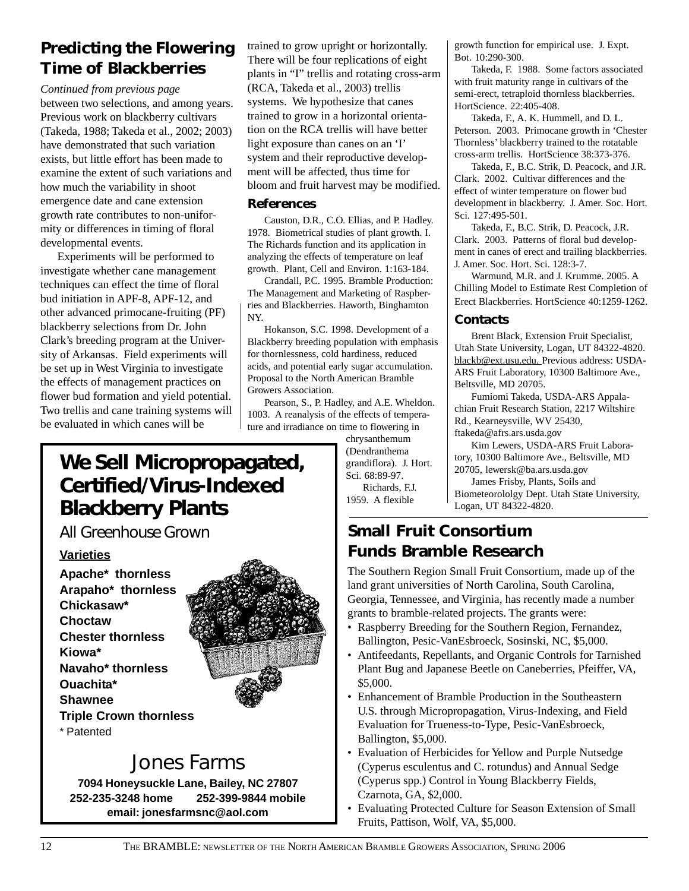# **Predicting the Flowering Time of Blackberries**

*Continued from previous page*

between two selections, and among years. Previous work on blackberry cultivars (Takeda, 1988; Takeda et al., 2002; 2003) have demonstrated that such variation exists, but little effort has been made to examine the extent of such variations and how much the variability in shoot emergence date and cane extension growth rate contributes to non-uniformity or differences in timing of floral developmental events.

Experiments will be performed to investigate whether cane management techniques can effect the time of floral bud initiation in APF-8, APF-12, and other advanced primocane-fruiting (PF) blackberry selections from Dr. John Clark's breeding program at the University of Arkansas. Field experiments will be set up in West Virginia to investigate the effects of management practices on flower bud formation and yield potential. Two trellis and cane training systems will be evaluated in which canes will be

trained to grow upright or horizontally. There will be four replications of eight plants in "I" trellis and rotating cross-arm (RCA, Takeda et al., 2003) trellis systems. We hypothesize that canes trained to grow in a horizontal orientation on the RCA trellis will have better light exposure than canes on an 'I' system and their reproductive development will be affected, thus time for bloom and fruit harvest may be modified.

### **References**

Causton, D.R., C.O. Ellias, and P. Hadley. 1978. Biometrical studies of plant growth. I. The Richards function and its application in analyzing the effects of temperature on leaf growth. Plant, Cell and Environ. 1:163-184.

Crandall, P.C. 1995. Bramble Production: The Management and Marketing of Raspberries and Blackberries. Haworth, Binghamton NY.

Hokanson, S.C. 1998. Development of a Blackberry breeding population with emphasis for thornlessness, cold hardiness, reduced acids, and potential early sugar accumulation. Proposal to the North American Bramble Growers Association.

Pearson, S., P. Hadley, and A.E. Wheldon. 1003. A reanalysis of the effects of temperature and irradiance on time to flowering in

chrysanthemum (Dendranthema grandiflora). J. Hort. Sci. 68:89-97. Richards, F.J. 1959. A flexible

growth function for empirical use. J. Expt. Bot. 10:290-300.

Takeda, F. 1988. Some factors associated with fruit maturity range in cultivars of the semi-erect, tetraploid thornless blackberries. HortScience. 22:405-408.

Takeda, F., A. K. Hummell, and D. L. Peterson. 2003. Primocane growth in 'Chester Thornless' blackberry trained to the rotatable cross-arm trellis. HortScience 38:373-376.

Takeda, F., B.C. Strik, D. Peacock, and J.R. Clark. 2002. Cultivar differences and the effect of winter temperature on flower bud development in blackberry. J. Amer. Soc. Hort. Sci. 127:495-501.

Takeda, F., B.C. Strik, D. Peacock, J.R. Clark. 2003. Patterns of floral bud development in canes of erect and trailing blackberries. J. Amer. Soc. Hort. Sci. 128:3-7.

Warmund, M.R. and J. Krumme. 2005. A Chilling Model to Estimate Rest Completion of Erect Blackberries. HortScience 40:1259-1262.

#### **Contacts**

Brent Black, Extension Fruit Specialist, Utah State University, Logan, UT 84322-4820. blackb@ext.usu.edu. Previous address: USDA-ARS Fruit Laboratory, 10300 Baltimore Ave., Beltsville, MD 20705.

Fumiomi Takeda, USDA-ARS Appalachian Fruit Research Station, 2217 Wiltshire Rd., Kearneysville, WV 25430, ftakeda@afrs.ars.usda.gov

Kim Lewers, USDA-ARS Fruit Laboratory, 10300 Baltimore Ave., Beltsville, MD 20705, lewersk@ba.ars.usda.gov

James Frisby, Plants, Soils and Biometeorololgy Dept. Utah State University, Logan, UT 84322-4820.

# **Small Fruit Consortium Funds Bramble Research**

The Southern Region Small Fruit Consortium, made up of the land grant universities of North Carolina, South Carolina, Georgia, Tennessee, and Virginia, has recently made a number grants to bramble-related projects. The grants were:

- Raspberry Breeding for the Southern Region, Fernandez, Ballington, Pesic-VanEsbroeck, Sosinski, NC, \$5,000.
- Antifeedants, Repellants, and Organic Controls for Tarnished Plant Bug and Japanese Beetle on Caneberries, Pfeiffer, VA, \$5,000.
- Enhancement of Bramble Production in the Southeastern U.S. through Micropropagation, Virus-Indexing, and Field Evaluation for Trueness-to-Type, Pesic-VanEsbroeck, Ballington, \$5,000.
- Evaluation of Herbicides for Yellow and Purple Nutsedge (Cyperus esculentus and C. rotundus) and Annual Sedge (Cyperus spp.) Control in Young Blackberry Fields, Czarnota, GA, \$2,000.
- Evaluating Protected Culture for Season Extension of Small Fruits, Pattison, Wolf, VA, \$5,000.

# **We Sell Micropropagated, Certified/Virus-Indexed Blackberry Plants**

*All Greenhouse Grown*

### **Varieties**

**Apache\* thornless Arapaho\* thornless Chickasaw\* Choctaw Chester thornless Kiowa\* Navaho\* thornless Ouachita\* Shawnee Triple Crown thornless** \* Patented



# Jones Farms

**7094 Honeysuckle Lane, Bailey, NC 27807 252-235-3248 home 252-399-9844 mobile email: jonesfarmsnc@aol.com**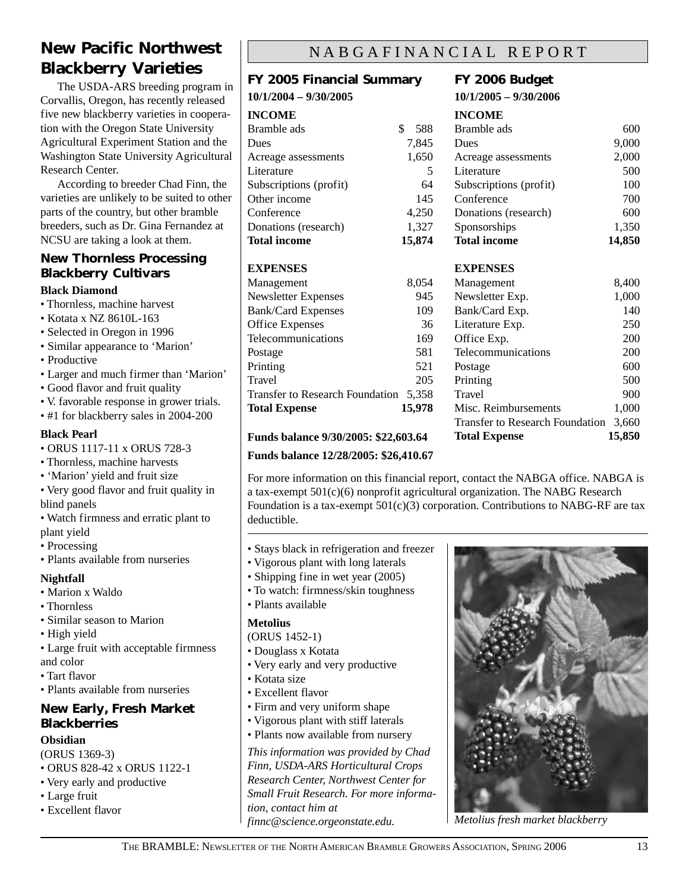# **New Pacific Northwest Blackberry Varieties**

The USDA-ARS breeding program in Corvallis, Oregon, has recently released five new blackberry varieties in cooperation with the Oregon State University Agricultural Experiment Station and the Washington State University Agricultural Research Center.

According to breeder Chad Finn, the varieties are unlikely to be suited to other parts of the country, but other bramble breeders, such as Dr. Gina Fernandez at NCSU are taking a look at them.

### **New Thornless Processing Blackberry Cultivars**

#### **Black Diamond**

- Thornless, machine harvest
- Kotata x NZ 8610L-163
- Selected in Oregon in 1996
- Similar appearance to 'Marion'
- Productive
- Larger and much firmer than 'Marion'
- Good flavor and fruit quality
- V. favorable response in grower trials.
- #1 for blackberry sales in 2004-200

### **Black Pearl**

- ORUS 1117-11 x ORUS 728-3
- Thornless, machine harvests
- 'Marion' yield and fruit size
- Very good flavor and fruit quality in blind panels
- Watch firmness and erratic plant to plant yield
- Processing
- Plants available from nurseries

#### **Nightfall**

- Marion x Waldo
- Thornless
- Similar season to Marion
- High yield
- Large fruit with acceptable firmness and color
- Tart flavor
- Plants available from nurseries

### **New Early, Fresh Market Blackberries**

### **Obsidian**

- (ORUS 1369-3)
- ORUS 828-42 x ORUS 1122-1
- Very early and productive
- Large fruit
- Excellent flavor

### NABGAFINANCIAL REPORT

# **FY 2005 Financial Summary**

### **10/1/2004 – 9/30/2005 INCOME** Bramble ads \$ 588

| Dues                   | 7,845  |
|------------------------|--------|
| Acreage assessments    | 1,650  |
| Literature             | 5      |
| Subscriptions (profit) | 64     |
| Other income           | 145    |
| Conference             | 4,250  |
| Donations (research)   | 1,327  |
| <b>Total income</b>    | 15,874 |

### **EXPENSES**

| Management                             | 8,054  |
|----------------------------------------|--------|
| <b>Newsletter Expenses</b>             | 945    |
| <b>Bank/Card Expenses</b>              | 109    |
| <b>Office Expenses</b>                 | 36     |
| Telecommunications                     | 169    |
| Postage                                | 581    |
| Printing                               | 521    |
| Travel                                 | 205    |
| <b>Transfer to Research Foundation</b> | 5.358  |
| <b>Total Expense</b>                   | 15,978 |

### **Funds balance 9/30/2005: \$22,603.64**

#### **Funds balance 12/28/2005: \$26,410.67**

# For more information on this financial report, contact the NABGA office. NABGA is a tax-exempt 501(c)(6) nonprofit agricultural organization. The NABG Research Foundation is a tax-exempt  $501(c)(3)$  corporation. Contributions to NABG-RF are tax

deductible.

- Stays black in refrigeration and freezer
- Vigorous plant with long laterals
- Shipping fine in wet year (2005)
- To watch: firmness/skin toughness

### • Plants available

#### **Metolius**

- (ORUS 1452-1)
- Douglass x Kotata
- Very early and very productive
- Kotata size
- Excellent flavor
- Firm and very uniform shape
- Vigorous plant with stiff laterals
- Plants now available from nursery

*This information was provided by Chad Finn, USDA-ARS Horticultural Crops Research Center, Northwest Center for Small Fruit Research. For more information, contact him at finnc@science.orgeonstate.edu.*

### **FY 2006 Budget**

**10/1/2005 – 9/30/2006**

### **INCOME**

| 5,874 | <b>Total income</b>    | 14,850 |
|-------|------------------------|--------|
| 1,327 | Sponsorships           | 1,350  |
| 4.250 | Donations (research)   | 600    |
| 145   | Conference             | 700    |
| 64    | Subscriptions (profit) | 100    |
| 5     | Literature             | 500    |
| 1,650 | Acreage assessments    | 2,000  |
| 7.845 | Dues                   | 9,000  |
| 588   | Bramble ads            | 600    |

### **EXPENSES**

| Management                             | 8,400  |
|----------------------------------------|--------|
| Newsletter Exp.                        | 1,000  |
| Bank/Card Exp.                         | 140    |
| Literature Exp.                        | 250    |
| Office Exp.                            | 200    |
| Telecommunications                     | 200    |
| Postage                                | 600    |
| Printing                               | 500    |
| Travel                                 | 900    |
| Misc. Reimbursements                   | 1,000  |
| <b>Transfer to Research Foundation</b> | 3,660  |
| <b>Total Expense</b>                   | 15,850 |



*Metolius fresh market blackberry*